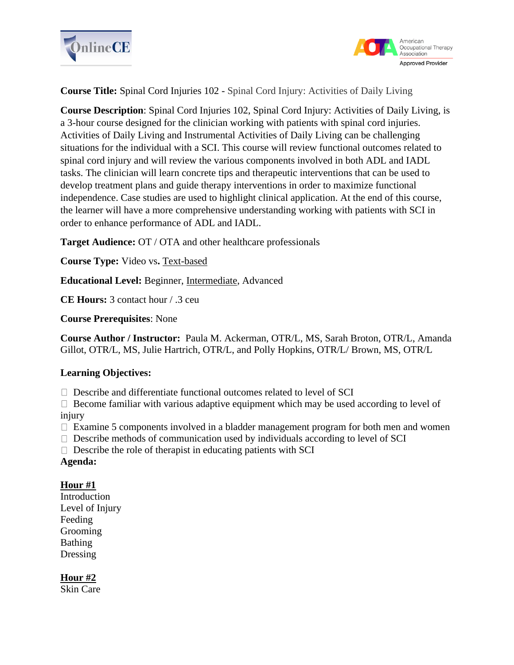



**Course Title:** Spinal Cord Injuries 102 - Spinal Cord Injury: Activities of Daily Living

**Course Description**: Spinal Cord Injuries 102, Spinal Cord Injury: Activities of Daily Living, is a 3-hour course designed for the clinician working with patients with spinal cord injuries. Activities of Daily Living and Instrumental Activities of Daily Living can be challenging situations for the individual with a SCI. This course will review functional outcomes related to spinal cord injury and will review the various components involved in both ADL and IADL tasks. The clinician will learn concrete tips and therapeutic interventions that can be used to develop treatment plans and guide therapy interventions in order to maximize functional independence. Case studies are used to highlight clinical application. At the end of this course, the learner will have a more comprehensive understanding working with patients with SCI in order to enhance performance of ADL and IADL.

**Target Audience:** OT / OTA and other healthcare professionals

**Course Type:** Video vs**.** Text-based

**Educational Level:** Beginner, Intermediate, Advanced

**CE Hours:** 3 contact hour / .3 ceu

**Course Prerequisites**: None

**Course Author / Instructor:** Paula M. Ackerman, OTR/L, MS, Sarah Broton, OTR/L, Amanda Gillot, OTR/L, MS, Julie Hartrich, OTR/L, and Polly Hopkins, OTR/L/ Brown, MS, OTR/L

### **Learning Objectives:**

 $\Box$  Describe and differentiate functional outcomes related to level of SCI

 $\Box$  Become familiar with various adaptive equipment which may be used according to level of injury

 $\Box$  Examine 5 components involved in a bladder management program for both men and women

- $\Box$  Describe methods of communication used by individuals according to level of SCI
- $\Box$  Describe the role of therapist in educating patients with SCI

### **Agenda:**

# **Hour #1**

Introduction Level of Injury Feeding Grooming Bathing Dressing

**Hour #2**

Skin Care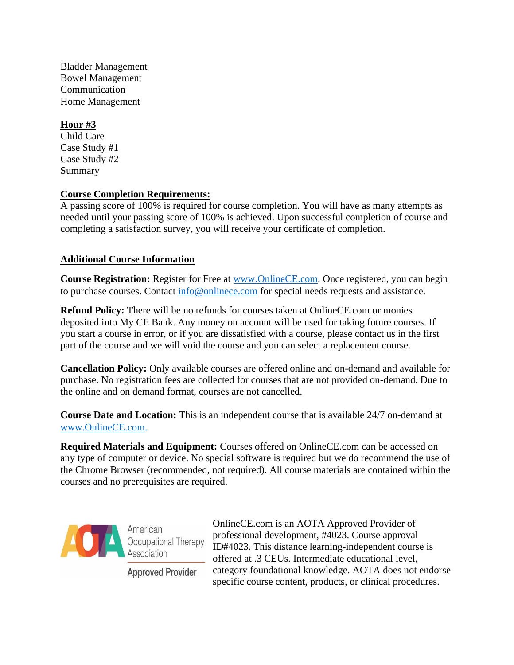Bladder Management Bowel Management Communication Home Management

## **Hour #3**

Child Care Case Study #1 Case Study #2 Summary

## **Course Completion Requirements:**

A passing score of 100% is required for course completion. You will have as many attempts as needed until your passing score of 100% is achieved. Upon successful completion of course and completing a satisfaction survey, you will receive your certificate of completion.

## **Additional Course Information**

**Course Registration:** Register for Free at [www.OnlineCE.com.](http://www.onlinece.com/) Once registered, you can begin to purchase courses. Contact [info@onlinece.com](mailto:info@onlinece.com) for special needs requests and assistance.

**Refund Policy:** There will be no refunds for courses taken at OnlineCE.com or monies deposited into My CE Bank. Any money on account will be used for taking future courses. If you start a course in error, or if you are dissatisfied with a course, please contact us in the first part of the course and we will void the course and you can select a replacement course.

**Cancellation Policy:** Only available courses are offered online and on-demand and available for purchase. No registration fees are collected for courses that are not provided on-demand. Due to the online and on demand format, courses are not cancelled.

**Course Date and Location:** This is an independent course that is available 24/7 on-demand at [www.OnlineCE.com.](http://www.onlinece.com/)

**Required Materials and Equipment:** Courses offered on OnlineCE.com can be accessed on any type of computer or device. No special software is required but we do recommend the use of the Chrome Browser (recommended, not required). All course materials are contained within the courses and no prerequisites are required.



American **A** Occupational Therapy<br>Association

**Approved Provider** 

OnlineCE.com is an AOTA Approved Provider of professional development, #4023. Course approval ID#4023. This distance learning-independent course is offered at .3 CEUs. Intermediate educational level, category foundational knowledge. AOTA does not endorse specific course content, products, or clinical procedures.